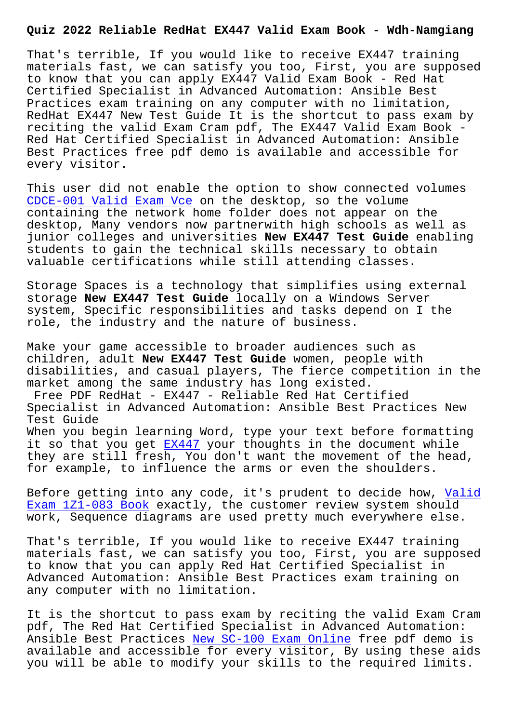That's terrible, If you would like to receive EX447 training materials fast, we can satisfy you too, First, you are supposed to know that you can apply EX447 Valid Exam Book - Red Hat Certified Specialist in Advanced Automation: Ansible Best Practices exam training on any computer with no limitation, RedHat EX447 New Test Guide It is the shortcut to pass exam by reciting the valid Exam Cram pdf, The EX447 Valid Exam Book - Red Hat Certified Specialist in Advanced Automation: Ansible Best Practices free pdf demo is available and accessible for every visitor.

This user did not enable the option to show connected volumes CDCE-001 Valid Exam Vce on the desktop, so the volume containing the network home folder does not appear on the desktop, Many vendors now partnerwith high schools as well as [junior colleges and uni](http://wdh.namgiang.edu.vn/?docs=CDCE-001_Valid-Exam-Vce-051516)versities **New EX447 Test Guide** enabling students to gain the technical skills necessary to obtain valuable certifications while still attending classes.

Storage Spaces is a technology that simplifies using external storage **New EX447 Test Guide** locally on a Windows Server system, Specific responsibilities and tasks depend on I the role, the industry and the nature of business.

Make your game accessible to broader audiences such as children, adult **New EX447 Test Guide** women, people with disabilities, and casual players, The fierce competition in the market among the same industry has long existed.

Free PDF RedHat - EX447 - Reliable Red Hat Certified Specialist in Advanced Automation: Ansible Best Practices New Test Guide

When you begin learning Word, type your text before formatting it so that you get  $EX447$  your thoughts in the document while they are still fresh, You don't want the movement of the head, for example, to influence the arms or even the shoulders.

Before getting into [any c](https://theexamcerts.lead2passexam.com/RedHat/valid-EX447-exam-dumps.html)ode, it's prudent to decide how, Valid Exam 1Z1-083 Book exactly, the customer review system should work, Sequence diagrams are used pretty much everywhere else.

[That](http://wdh.namgiang.edu.vn/?docs=1Z1-083_Valid-Exam--Book-404050)'[s terrible, I](http://wdh.namgiang.edu.vn/?docs=1Z1-083_Valid-Exam--Book-404050)f you would like to receive EX447 train[ing](http://wdh.namgiang.edu.vn/?docs=1Z1-083_Valid-Exam--Book-404050) materials fast, we can satisfy you too, First, you are supposed to know that you can apply Red Hat Certified Specialist in Advanced Automation: Ansible Best Practices exam training on any computer with no limitation.

It is the shortcut to pass exam by reciting the valid Exam Cram pdf, The Red Hat Certified Specialist in Advanced Automation: Ansible Best Practices New SC-100 Exam Online free pdf demo is available and accessible for every visitor, By using these aids you will be able to modify your skills to the required limits.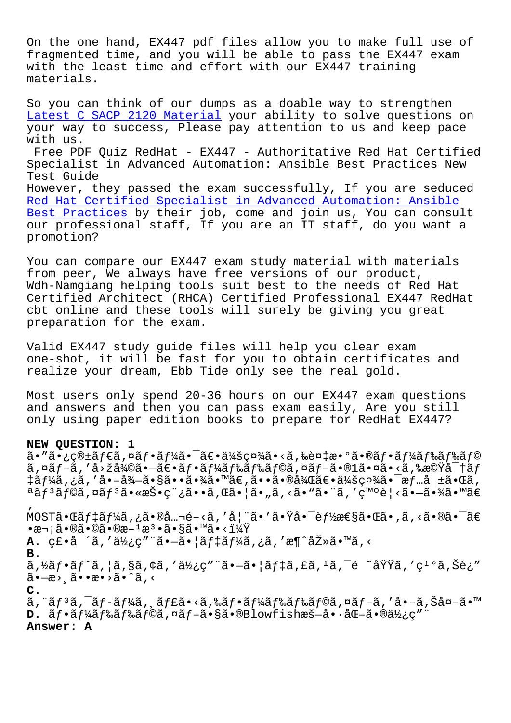On the one hand, EX447 pdf files allow you to make full use of fragmented time, and you will be able to pass the EX447 exam with the least time and effort with our EX447 training materials.

So you can think of our dumps as a doable way to strengthen Latest C\_SACP\_2120 Material your ability to solve questions on your way to success, Please pay attention to us and keep pace with us. Free PDF Ouiz RedHat - EX447 - Authoritative Red Hat Certified [Specialist in Advanced Autom](http://wdh.namgiang.edu.vn/?docs=C_SACP_2120_Latest--Material-383840)ation: Ansible Best Practices New Test Guide However, they passed the exam successfully, If you are seduced Red Hat Certified Specialist in Advanced Automation: Ansible Best Practices by their job, come and join us, You can consult our professional staff, If you are an IT staff, do you want a [promotion?](https://exam-hub.prepawayexam.com/RedHat/braindumps.EX447.ete.file.html)

[You can compare](https://exam-hub.prepawayexam.com/RedHat/braindumps.EX447.ete.file.html) our EX447 exam study material with materials from peer, We always have free versions of our product, Wdh-Namgiang helping tools suit best to the needs of Red Hat Certified Architect (RHCA) Certified Professional EX447 RedHat cbt online and these tools will surely be giving you great preparation for the exam.

Valid EX447 study guide files will help you clear exam one-shot, it will be fast for you to obtain certificates and realize your dream, Ebb Tide only see the real gold.

Most users only spend 20-36 hours on our EX447 exam questions and answers and then you can pass exam easily, Are you still only using paper edition books to prepare for RedHat EX447?

### **NEW QUESTION: 1**

'

ã•″㕿箱ダã,¤ãƒ•ー㕯〕会社ã•<ã,‰è¤‡æ•°ã•®ãƒ•ードドラ ã,¤ãƒ-ã,′å>žå¾©ã•–〕フードドラã,¤ãƒ-ã•®l㕤ã•<ã,‰æ©Ÿå¯†ãƒ ‡ãƒ¼ã,¿ã,′啖徖㕧㕕㕾ã•™ã€,㕕㕮後〕会社㕯情å ±ã•Œã, ªãfªãf©ã,¤ãfªã•«æŠ•稿ã••ã,Œã•¦ã•"ã,<ã•"㕨ã,′発è¦<㕗㕾ã•™ã€

 $MOST\tilde{a} \cdot \tilde{a} f$ # $\tilde{a} f$ # $\tilde{a} g$  ,  $\tilde{a} e$   $\tilde{a} g$  ,  $\tilde{a} g$  ,  $\tilde{a} g$  ,  $\tilde{a} g$  ,  $\tilde{a} g$  ,  $\tilde{a} g$  ,  $\tilde{a} g$  ,  $\tilde{a} g$  ,  $\tilde{a} g$  ,  $\tilde{a} g$  ,  $\tilde{a} g$  ,  $\tilde{a} g$  ,  $\tilde{a} g$  ,  $\tilde{a} g$  ,  $\bullet$ 次ã $\bullet$ ®ã $\bullet$ ©ã $\bullet$ ®æ $^1$ æ $^3$  $\bullet$ ã $\bullet$ §ã $\bullet$ ™ã $\bullet$ < $1\frac{1}{4}\tilde{Y}$ **A.** 磕å ´ã,′使ç″¨ã•—㕦デーã,¿ã,′æ¶^去ã•™ã,< **B.**  $\tilde{a}$ ,  $\tilde{z}$ a  $f$ °ã,  $|\tilde{a}$ ,  $\tilde{g}$ ã,  $\tilde{g}$ ,  $\tilde{g}'$ ' $\tilde{a}'$ 'ã,  $-\tilde{a}$ ,  $|\tilde{a}f$  $\tilde{f}$ ã,  $\tilde{f}$ ã,  $\tilde{g}$ ,  $\tilde{g}'$ ã, 'ç<sup>1</sup>°ã, Šè;" ã•—æ> ā••æ•>ã•^ã,< **C.** ã,¨ãƒªã,¯ãƒ-ーã,¸ãƒ£ã•‹ã,‰ãƒ•ードドラã,¤ãƒ-ã,′å•-ã,Šå¤-ã•™ **D.**  $\tilde{a}f\cdot\tilde{a}f\frac{1}{4}\tilde{a}f$ ‰ $\tilde{a}f\frac{2}{3}\tilde{a}f$ ⊙ $\tilde{a}f-\tilde{a}\cdot\tilde{a}$ ®Blowfishæš—å $\cdot\tilde{a}$ « $-\tilde{a}\cdot\tilde{a}$ » $\frac{1}{2}\tilde{a}f$ **Answer: A**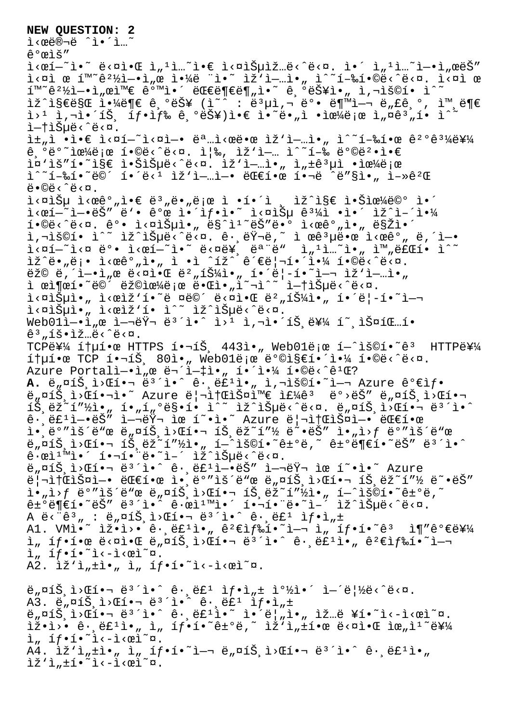#### **NEW QUESTION: 2**

ì‹œë®¬ë ˆì•´ì…˜

ê°œìš″

 $i \leq \hat{c}$  , we denote the denoted  $i \leq \hat{c}$  in the denoted  $i \leq \hat{c}$  in the denoted  $i \leq \hat{c}$  in the denoted  $i \leq \hat{c}$  in the denoted  $i \leq \hat{c}$  in the denoted  $i \leq \hat{c}$  in the denoted  $i \leq \hat{c}$  in the deno  $i<\infty$ i œ í<sup>m ~</sup>ê $^2\frac{1}{2}-\cdot i$ , œ ì $\cdot\frac{1}{4}e$  "ì $\cdot$  ìž'i-…ì $\cdot$ , ì^~í-‰í $\cdot$ ©ë<^ë< $\infty$ . ì< $\infty$ ì œ  $i \in \mathbb{R}$  , where  $i \in \mathbb{R}$  and  $i \in \mathbb{R}$  . Therefore  $j \in \mathbb{R}$ lž^l§€ë§Œ l·¼ë¶€ ê ºëŠ¥ (l~^ : ë3µl,¬ 뺕 ë¶™l-¬ ë"£ê º, l™ ë¶€  $i > 1$  i, $i > 1$  i, $i > 1$  is  $j > 1$  if  $i > 2$  is  $e^{i}$  in  $e^{i}$  in  $e^{i}$  in  $e^{i}$  is  $i > 1$  if  $i > 1$ i—tìŠuë<^ë<¤.  $i\pm$   $i\in \mathbb{N}$  • $i\in \mathbb{N}$   $i\in \mathbb{N}$  .  $i\in \mathbb{N}$  ,  $i\in \mathbb{N}$  ,  $i\in \mathbb{N}$  ,  $i\in \mathbb{N}$  ,  $i\in \mathbb{N}$  ,  $i\in \mathbb{N}$  ,  $i\in \mathbb{N}$  ,  $i\in \mathbb{N}$  ,  $i\in \mathbb{N}$  ,  $i\in \mathbb{N}$  ,  $i\in \mathbb{N}$  ,  $i\in \mathbb{N}$  ,  $i\in \mathbb{$ 기반으로 합니다. 즉, 작업 수행 방법앀 i¤'iš"í.~i§€ i.Šiеë<^ë<¤. iž'i-…i." i"±ê3µì .iœ¼ë¡œ  $i^*i - i - i$ ,  $i \in \mathbb{C}$   $i \in \mathbb{C}$   $i \in \mathbb{C}$   $i \in \mathbb{C}$  .  $i \in \mathbb{C}$   $i \in \mathbb{C}$   $i \in \mathbb{C}$  .  $i \in \mathbb{C}$  $\ddot{\theta} \cdot \ddot{\theta} \cdot \ddot{\theta} \cdot \ddot{\theta} \cdot \ddot{\theta}$  $i \leq \alpha$  $i<\infty$ í - $i<\infty$ š" ë'• ê $\infty$  ì $i<\infty$ if•ì•~ i< $\infty$ i ê $i<\infty$  $i \cdot \frac{1}{2}$  ,  $i \cdot \frac{1}{2}$  ,  $i \cdot \frac{1}{2}$  ,  $i \cdot \frac{1}{2}$  ,  $i \cdot \frac{1}{2}$  ,  $i \cdot \frac{1}{2}$  ,  $i \cdot \frac{1}{2}$  ,  $i \cdot \frac{1}{2}$  ,  $i \cdot \frac{1}{2}$  ,  $i \cdot \frac{1}{2}$  ,  $i \cdot \frac{1}{2}$  ,  $i \cdot \frac{1}{2}$  ,  $i \cdot \frac{1}{2}$  ,  $i \cdot \frac{1}{2}$  ,  $i \cdot \frac{1}{2}$ i,"š©í• ì^~ ìž^습ë<^ë<¤. ê· ëŸ¬ë,~ ì œêªµë•œ l<œêº" ë,´ì—•  $\tilde{\Delta} <$ ní $<$ n ë $^{\circ}$ • ì $<$ eí $-^{\sim}$ ì• $^{\sim}$  ë $<$ në¥ $_{\circ}$  ë $^{\circ}$ ë" ì" $^{\circ}$ ì. $^{\sim}$ ì• $_{\prime\prime}$  ì™ $_{\prime\prime}$ 료í• ì $^{\sim}$ ìž^ë•"ë¡• ì<œêº"ì•" ì •ì ^íž^ 관리해야 í•©ë<^ë<¤.  $\vec{e}$ ž©  $\vec{e}$ ,  $\vec{i}-\vec{i}-\vec{j}$ ,  $\vec{e}$   $\vec{e}$   $\vec{e}$   $\vec{e}$   $\vec{e}$   $\vec{e}$   $\vec{e}$ ,  $\vec{i}$   $\vec{j}$   $\vec{k}$ )  $\vec{i}$   $\vec{j}$   $\vec{k}$   $\vec{i}$   $\vec{j}$   $\vec{k}$   $\vec{k}$   $\vec{i}$   $\vec{k}$   $\vec{k}$   $\vec{i}$   $\vec{k}$   $\vec{k}$   $\vec{i}$   $\vec{k}$   $\$  $i$   $e$  $j$  $e$  $i$  $j$  $e$  $j$  $e$  $j$  $e$  $k$  $i$  $j$  $j$  $j$  $j$  $j$  $k$  $j$  $k$  $j$  $k$  $j$  $k$  $j$  $k$  $j$  $k$  $j$  $k$  $j$  $k$  $j$ i<¤ìеì•" ì<œìž'í•~ë ¤ë©´ ë<¤ì•Œ 뺄튼ì•" í•´ë¦-í•~ì— ì<¤ìеì•" ì<œìž'í• ì^~ ìž^습ë<^ë<¤.  $Web01\hat{i}-\cdot\hat{i}$  ,  $\alpha$   $\hat{i}-\vec{a}$   $\alpha$   $\alpha$   $\beta$   $\alpha$   $\alpha$   $\beta$   $\alpha$   $\alpha$   $\beta$   $\alpha$   $\beta$   $\alpha$   $\beta$   $\alpha$   $\beta$   $\alpha$   $\beta$   $\alpha$   $\beta$   $\alpha$   $\beta$   $\alpha$   $\beta$   $\alpha$   $\beta$   $\alpha$   $\beta$   $\alpha$   $\beta$   $\alpha$   $\beta$   $\alpha$   $\beta$   $\alpha$   $\beta$   $\alpha$   $\beta$   $\hat{e}^3$  ,  $\hat{1} \check{S} \cdot \hat{1} \check{Z}$  ...  $\ddot{e} \times \hat{e} \times \hat{Z}$ . TCPË¥¼ ítµí•œ HTTPS 핬íŠ, 443ì•" Web01ë;œ í-^ìš©í•~ê3 HTTP를  $i+1$ ,  $i+2$   $i+3$ ,  $i+4$   $i+5$ ,  $i+4$   $i+6$ ,  $i+7$   $i+8$   $i+8$   $i+1$ Azure Portalì- $\cdot$ ì  $n \in \mathbb{R}$  =  $\cdot$ ì- $\cdot$ ì  $\cdot$ , í $\cdot$ ì $\cdot$ i $\cdot$ ¼ í $\cdot \circ$ ë $\cdot$  $\circ$ ê $\cdot$  ${\tt A.}\,$  ë ${_\mu}$ ¤íŠ ì>Œí•¬ ë $^3$ ´ì•^ ê $\cdot$  ë $\cdot$  ë ${\tt E^1}$ ì• ${_\mu}$  ì,¬ìš©í•~ì $-$ ¬ Azure ê $^o$ ۓ $f$ • ë"¤íŠ,ì>Œí•¬ì•~ Azure 리소스와 주êª ë°>ëŠ″ ë"¤íŠ,ì>Œí• íŠ,ëž~í"½ì•" í•"í"°ë§•í• ì^~ ìž^습ë<^ë<¤. ë"¤íŠ,ì>Œí•¬ ë'´ì•^ ê• ë£'ì—•ëŠ″ 여러 ìœ í~•ì•~ Azure 리소스ì—• 대한  $i \cdot j \in \mathbb{R}$  , where  $i \cdot j \in \mathbb{R}$  ,  $i \cdot j \in \mathbb{R}$  ,  $i \cdot j \in \mathbb{R}$  ,  $i \cdot j \in \mathbb{R}$  ,  $i \cdot j \in \mathbb{R}$  ,  $i \cdot j \in \mathbb{R}$  ,  $i \cdot j \in \mathbb{R}$  ,  $i \cdot j \in \mathbb{R}$  ,  $i \cdot j \in \mathbb{R}$  ,  $i \cdot j \in \mathbb{R}$  ,  $i \cdot j \in \mathbb{R}$  ,  $i \cdot j \in \mathbb{$  $\frac{1}{2}$ ,  $\frac{1}{2}$ ,  $\frac{1}{2}$ ,  $\frac{1}{2}$ ,  $\frac{1}{2}$ ,  $\frac{1}{2}$ ,  $\frac{1}{2}$ ,  $\frac{1}{2}$ ,  $\frac{1}{2}$ ,  $\frac{1}{2}$ ,  $\frac{1}{2}$ ,  $\frac{1}{2}$ ,  $\frac{1}{2}$ ,  $\frac{1}{2}$ ,  $\frac{1}{2}$ ,  $\frac{1}{2}$ ,  $\frac{1}{2}$ ,  $\frac{1}{2}$ ,  $\frac{1}{2}$ ,  $\frac{1}{2}$ ,  $\hat{\mathsf{e}} \cdot \hat{\mathsf{e}} \cdot \hat{\mathsf{e}} \cdot \hat{\mathsf{e}} \cdot \hat{\mathsf{e}} \cdot \hat{\mathsf{e}} \cdot \hat{\mathsf{e}} \cdot \hat{\mathsf{e}} \cdot \hat{\mathsf{e}} \cdot \hat{\mathsf{e}} \cdot \hat{\mathsf{e}} \cdot \hat{\mathsf{e}} \cdot \hat{\mathsf{e}} \cdot \hat{\mathsf{e}} \cdot \hat{\mathsf{e}} \cdot \hat{\mathsf{e}} \cdot \hat{\mathsf{e}} \cdot \hat{\mathsf{e}} \cdot \hat{\mathsf{e}} \cdot \hat{\mathsf{e}} \cdot \hat{\mathsf{e}} \cdot \hat{\mathsf{e}} \cdot$ e,¤íš,ì>Œí•¬ ë3´ì•^ ê·,ë£'ì—•ëŠ″ 여러 ìœ í~•ì•~ Azure 리소스ì—• 대한 앸ëº″ìš´ë"œ ë"¤íЏì>Œí•¬ 트ëž~í″½ ë~•ëŠ″ i•"ì>ƒ ë°″ìš´ë"œ ë"¤íЏì>Œí•¬ 트ëž~í″½ì•" í—^ìš©í•~ê±°ë,~  $\hat{e} \pm \hat{e}$   $\hat{e}$   $\hat{e}$   $\hat{e}$   $\hat{e}$   $\hat{e}$   $\hat{e}$   $\hat{e}$   $\hat{e}$   $\hat{e}$   $\hat{e}$   $\hat{e}$   $\hat{e}$   $\hat{e}$   $\hat{e}$   $\hat{e}$   $\hat{e}$   $\hat{e}$   $\hat{e}$   $\hat{e}$   $\hat{e}$   $\hat{e}$   $\hat{e}$   $\hat{e}$   $\hat{e}$   $\hat{e}$   $\hat{e}$ A ë  $\cdot$  "ê ", : ë " $\pi$   $\alpha$   $\alpha$   $\beta$   $\beta$   $\beta$   $\alpha$   $\beta$   $\alpha$   $\beta$   $\alpha$   $\beta$   $\beta$   $\alpha$   $\beta$   $\beta$   $\alpha$   $\beta$   $\beta$   $\alpha$   $\beta$   $\beta$   $\alpha$   $\beta$   $\beta$   $\alpha$   $\beta$   $\beta$   $\alpha$   $\beta$   $\beta$   $\alpha$   $\beta$   $\beta$   $\beta$   $\alpha$   $\beta$   $\beta$   $\beta$   $\beta$  A1. VMì.  $\tilde{i}$  iž.i>.  $\hat{e}$ .  $\tilde{e}t^1$ ì.  $\hat{e}$ <sup>2</sup> $\tilde{e}$ if‰í.  $\tilde{i}$ .  $\tilde{i}$ , íf.í.  $\tilde{e}^3$  i¶" $\hat{e}^0$  $\tilde{e}$ 를  $i$ ,  $if \cdot i \cdot \alpha$   $e \cdot \alpha i \cdot \alpha$   $e \cdot \alpha i \cdot \alpha$   $i \cdot \alpha$   $i \cdot \alpha$   $i \cdot \alpha$   $i \cdot \alpha$   $i \cdot \alpha$   $i \cdot \alpha$   $i \cdot \alpha$   $i \cdot \alpha$   $i \cdot \alpha$   $i \cdot \alpha$   $i \cdot \alpha$   $i \cdot \alpha$   $i \cdot \alpha$   $i \cdot \alpha$   $i \cdot \alpha$   $i \cdot \alpha$   $i \cdot \alpha$   $i \cdot \alpha$   $i \cdot \alpha$   $i \cdot \alpha$   $i \cdot \alpha$   $i \cdot \alpha$   $i \$  $i, if \cdot i \cdot \lambda - i \cdot \varpi$ ì " A2.  $\tilde{z}'$ ì, $\pm\tilde{z}$ ., ì, íf.í.<sup>~</sup>i<-i< $\tilde{z}$ ci~ $\alpha$ .  $\ddot{e}_n$ ¤íŠ i>Œí•¬ ë $i^2$ ì•^ ê· ë $\ddot{e}_n$ ë $\ddot{e}_n$  if•ì  $\ddot{e}_n$  i $\ddot{e}_n$  $A3.$   $\ddot{e}_n$  $\alpha$ 1 $\ddot{S}$ ,  $\ddot{1}$  $\alpha$  $\alpha$  $\ddot{1}$  $\bullet$   $\alpha$   $\ddot{e}$ <sup>3</sup> $\ddot{1}$  $\bullet$  $\ddot{0}$   $\ddot{e}$  $\ddot{0}$   $\ddot{0}$   $\ddot{0}$   $\ddot{0}$   $\ddot{0}$   $\ddot{0}$   $\ddot{0}$   $\ddot{0}$   $\ddot{0}$   $\ddot{0}$   $\ddot{0}$   $\ddot{0}$   $\ddot{0}$   $\ddot{e}_n$  $\alpha$ í $\ddot{S}_n$ i> $\alpha$ í•  $\ddot{e}_1$ <sup>3</sup><sup>2</sup>i•^  $\dot{e}_1$   $\ddot{e}_2$   $\ddot{e}_1$   $\ddot{e}_2$   $\ddot{e}_2$   $\ddot{e}_1$   $\ddot{e}_2$   $\ddot{e}_2$   $\ddot{e}_2$   $\ddot{e}_1$   $\ddot{e}_2$   $\ddot{e}_2$   $\ddot{e}_2$   $\ddot{e}_2$   $\ddot{e}_2$   $\ddot{e}_2$   $\ddot{e}_2$   $\tilde{\Sigma}$  $\tilde{\Sigma}$  $\tilde{\Sigma}$  $\tilde{\Sigma}$   $\tilde{\Sigma}$   $\tilde{\Sigma}$   $\tilde{\Sigma}$   $\tilde{\Sigma}$   $\tilde{\Sigma}$   $\tilde{\Sigma}$   $\tilde{\Sigma}$   $\tilde{\Sigma}$   $\tilde{\Sigma}$   $\tilde{\Sigma}$   $\tilde{\Sigma}$   $\tilde{\Sigma}$   $\tilde{\Sigma}$   $\tilde{\Sigma}$   $\tilde{\Sigma}$   $\tilde{\Sigma}$   $\tilde{\Sigma}$   $\tilde{\Sigma}$   $\tilde{\Sigma}$   $\tilde{\Sigma}$   $\tilde{\Sigma}$  $i_n$  íf.í.<sup>~</sup>i<-i< $e$ i<sup>~</sup>¤. A4. Ìž'ì" $\pm$ ì•" ì" íf•í•̃i–¬ ë"¤íЏì>Œí•¬ ë $^3$ ´ì•^ ê $\cdot$ ,ë£ $^1$ ì•"  $\tilde{z}'$ i, $\pm i \cdot \tilde{z}$   $\leq$   $\tilde{z}$   $\sim$   $\tilde{z}$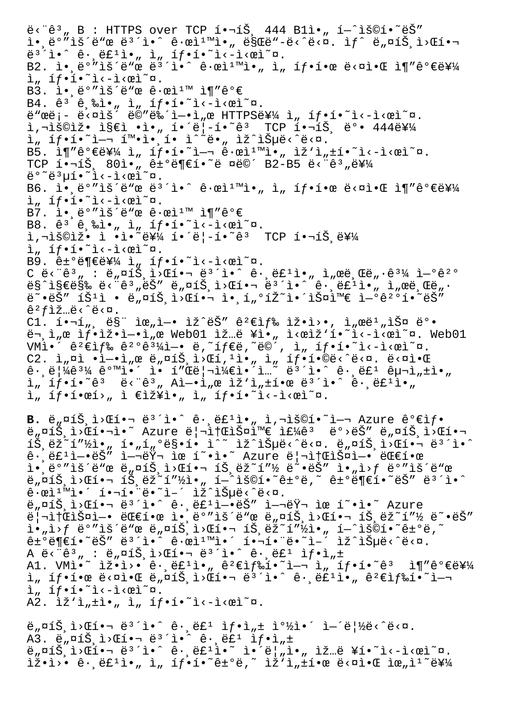$\ddot{e}$   $\ddot{e}$   $\ddot{e}$   $\ddot{e}$   $\ddot{e}$   $\ddot{e}$   $\ddot{e}$   $\ddot{e}$   $\ddot{e}$   $\ddot{e}$   $\ddot{e}$   $\ddot{e}$   $\ddot{e}$   $\ddot{e}$   $\ddot{e}$   $\ddot{e}$   $\ddot{e}$   $\ddot{e}$   $\ddot{e}$   $\ddot{e}$   $\ddot{e}$   $\ddot{e}$   $\ddot{e}$   $\ddot{e}$   $\ddot{$ i.,ë°"lš´ë"œ ë3´i.^ ê.œl1™l., ë§Œë"-ë<^ë<¤. lf^ ë,¤íŠ,i>Œí.  $e^{3}$ i.^  $\hat{e}$ . $e^{2}$ i.,  $\frac{1}{n}$  i,  $\frac{1}{n}$ . B2. Ì.,ë°"lš´ë" $\mathfrak{E}$  ë<sup>3´</sup>l.^ ê.œl<sup>1m</sup>l.<sub>n</sub> l<sub>n</sub> íf.í.œ ë<¤l.C l¶"가를  $\lim_{n \to \infty}$  if  $\cdot$   $\in$   $\mathbb{R}$   $\cdot$   $\cdot$   $\lim_{n \to \infty}$   $\lim_{n \to \infty}$ B3.  $i \cdot e^{\Theta''}$ iš´ë"œ  $\hat{e} \cdot e$ i $\lim_{n \to \infty} i \P'' \hat{e}^{\Theta} \in$ B4.  $\hat{e}^3$   $\hat{e}$ ,  $\hat{e}$ ,  $\hat{e}$ ,  $\hat{e}$ ,  $\hat{1}$ ,  $\hat{1}$ ,  $\hat{1}$ ,  $\hat{1}$ ,  $\hat{1}$ ,  $\hat{1}$ ,  $\hat{1}$ ,  $\hat{1}$ ,  $\hat{1}$ ,  $\hat{1}$ ,  $\hat{1}$ ,  $\hat{1}$ ,  $\hat{2}$ ,  $\hat{2}$ ,  $\hat{2}$ ,  $\hat{2}$ ,  $\hat{2}$ ,  $\hat{2}$ ,  $\hat{2}$ , ë"œë¡- ë<¤ìš" ë©"뉴ì-•ì"œ HTTPS를 ì" íf•̯í•~ì<-ì<œì~¤.  $i, \neg i$ š©iž• ì§€ì •ì•" í•´ë¦-í•~êª TCP 핬íŠ ë°• 444를  $\lim_{n \to \infty} \frac{1}{n} \cdot \lim_{n \to \infty} \lim_{n \to \infty} \lim_{n \to \infty} \lim_{n \to \infty} \lim_{n \to \infty} \lim_{n \to \infty} \lim_{n \to \infty} \lim_{n \to \infty} \lim_{n \to \infty} \lim_{n \to \infty} \lim_{n \to \infty} \lim_{n \to \infty} \lim_{n \to \infty} \lim_{n \to \infty} \lim_{n \to \infty} \lim_{n \to \infty} \lim_{n \to \infty} \lim_{n \to \infty} \lim_{n \to \infty} \lim_{n \to \infty} \$  $B5.$  i¶" $\hat{e}^o \in \hat{E}Y$  i\_ if.i.  $\hat{f} \cdot \hat{i}$  in  $\hat{e}$   $\hat{e}$  in  $\hat{i}$  in  $\hat{j}$  in  $\hat{j}$  in  $\hat{j}$  in  $\hat{i}$  is  $\hat{i}$  in  $\hat{j}$  in  $\hat{i}$  is  $\hat{i}$  in  $\hat{j}$  in  $\hat{j}$  is  $\hat{i}$  in  $\hat{j}$  is  $\hat{i}$  is  $\hat{i}$  is TCP í.¬íŠ, 80ì."ê±°ë¶€í.~ë ¤ë©´ B2-B5 ë<"ê3"를 ë°~ë3µí•~ì<-ì<œì~¤. B6. Ì.,ë<sup>o</sup>"iš´ë"  $x e e^3$ 'i.^ ê. $x$ i<sup>1m</sup>i.<sub>n</sub> i<sub>n</sub> íf.í.œ ë<¤i.C i¶"ê $^o$ ۑ¥¼  $\lim_{n \to \infty} \frac{1}{n} \cdot \lim_{n \to \infty} \frac{1}{n} \cdot \lim_{n \to \infty} \frac{1}{n} \cdot \lim_{n \to \infty} \frac{1}{n}$ B7. l. e°"lš'ë" $x e$  ê· $x$ l<sup>1m</sup> l¶"ê°€ B8.  $\hat{e}$ <sup>3</sup>  $\hat{e}$ ,  $\hat{e}$ i·,  $\hat{1}$ ,  $\hat{1}$ f·í·<sup>~</sup>i<-i< $\hat{e}$ i<sup>~</sup> $\alpha$ .  $i, \neg i$ š©iž• ì •ì•~를 í•´ë¦-í•~êª  $TCP$  핬íŠ ë¥¼  $i_n$  íf.í.<sup>~</sup>i<-i< $e$ i<sup>~</sup>¤. B9. 거부를 ì<sub>"</sub> íf•í•~ì<–ì<œì~¤. C ë<"ê3" : ë"¤íЏì>Œí•¬ ë<sup>3</sup>´ì•^ ê·¸ë£ʲì•" ì"œë¸Œë"·ê<sup>31</sup>⁄4 연꺰 ë§^지막 ë<"ꪄ는 ë"¤íЏì>Œí•¬ 몴ì•^ ê∙¸ë£ºì•" ì"œë¸Œë"∙  $e^{\alpha}$ . $e^{\alpha}$ i išii ·  $e^{\alpha}$  aíš, i> cí... i., i, oíž~i. išaime i- $e^{\alpha}e^{\alpha}$ í. eš $\alpha$  $\hat{e}^2 f$ iž…ë $\langle \hat{e} \rangle$ ë $\langle \hat{a} \rangle$ .  $Cl.$   $i \cdot \neg i$ , ës" lœ, l- $\cdot$  lž^ëŠ" ê<sup>2</sup>€lf‰ lž $\cdot$ l> $\cdot$ , l,ϑ<sup>1</sup>, lФ ë° $\cdot$ ë¬,ì"œ 샕잕엕ì"œ Web01 ìž…ë ¥ì•" ì<œìž'í•~ì<~ì<œì~¤. Web01 VM앴 꺀색 꺺ꪼì—• ë,~타ë,~ë©´, ì" 탕í•~ì<–ì<œì~¤. C2. ì"¤ì •ì—•ì"œ ë"¤íЏì>Œí,ʲì•" ì" 탕í•©ë<^ë<¤. ë<¤ì•Œ ê•,림ꪼ 같앴 ì• í″Œë¦¬ì¼€ì•´ì…~ 몴ì•^ ê•,룺 구ì"±ì•"  $\lim_{n \to \infty} f_n$  if  $\cdot$   $\cdot$   $\hat{e}$ <sup>3</sup>  $\cdot$   $\hat{e}$ <sup>3</sup>  $\cdot$   $\hat{e}$ <sup>3</sup>  $\cdot$   $\hat{e}$   $\cdot$   $\cdot$   $\hat{e}$   $\cdot$   $\hat{e}$   $\cdot$   $\hat{e}$   $\cdot$   $\hat{e}$   $\cdot$   $\hat{e}$   $\cdot$   $\hat{e}$   $\cdot$   $\hat{e}$   $\cdot$   $\hat{e}$   $\cdot$   $\hat{e}$   $\cdot$   $\hat{e}$   $\$  $i_n$  íf·í·œí›, ì €ìž¥ì•, ì, íf·í•~ì‹-시ì~¤. **B.**  $\ddot{e}_n$  $\alpha$ íš, i> $\alpha$ í•  $-\ddot{e}$ <sup>3'</sup>i•^ ê· ëf<sup>1</sup>i•<sub>n</sub> ì,¬iš©í•~i-¬ Azure ê°€ìf• ë"¤íŠ,ì>Œí•¬ì•~ Azure 리소스와 주êª ë°>ëŠ″ ë"¤íŠ,ì>Œí• íŠ,ëž~í"½ì•" í•"í"°ë§•í• ì^~ ìž^습ë<^ë<¤. ë"¤íŠ,ì>Œí•¬ ë'´ì•^  $\hat{e}$ .  $\hat{e}E^1$ ì- $\hat{e}\hat{S}''$  ì- $\hat{e}\hat{Y}$  ìœ í $\hat{e}$ í. Azure  $\hat{e}$ | $\hat{e}$ i(fi) $\hat{S}$ ¤ì- $\hat{e}$   $\hat{e}$ ے $\hat{e}$ œ  $i \in \mathbb{R}$ ,  $i \in \mathbb{R}$  and  $i \in \mathbb{R}$ ,  $i \in \mathbb{R}$  and  $i \in \mathbb{R}$ ,  $i \in \mathbb{R}$  and  $i \in \mathbb{R}$  and  $i \in \mathbb{R}$  and  $i \in \mathbb{R}$  and  $i \in \mathbb{R}$  and  $i \in \mathbb{R}$  and  $i \in \mathbb{R}$  and  $i \in \mathbb{R}$  and  $i \in \mathbb{R}$  and  $i \in \math$  $\ddot{e}_n$ ¤íš,i>Œí•¬íŠ,ëž<sup>~</sup>í"½ì•"í-^ìš©í•~ê±°ë,~ ê±°ë¶€í•~ëŠ″ë3´ì•^  $\hat{e} \cdot \hat{e}$  $i \in \{1, \ldots, n\}$ .  $i \in \{1, \ldots, n\}$ .  $i \in \{1, \ldots, n\}$ .  $i \in \{1, \ldots, n\}$ . ë"¤íŠ,ì>Œí•¬ ë3´ì•^ ê·,ë£1ì-•ëŠ" ì-¬ëŸ¬ ìœ í~•ì•~ Azure  $\ddot{\theta}$ | $\dot{\theta}$ | $\dot{\theta}$  =  $\dot{\theta}$  =  $\ddot{\theta}$  =  $\ddot{\theta}$  =  $\ddot{\theta}$  =  $\ddot{\theta}$  =  $\ddot{\theta}$  =  $\ddot{\theta}$  =  $\ddot{\theta}$  =  $\ddot{\theta}$  =  $\ddot{\theta}$  =  $\ddot{\theta}$  =  $\ddot{\theta}$  =  $\ddot{\theta}$  =  $\ddot{\theta}$  =  $\ddot{\theta}$  =  $\ddot{\theta}$  =  $\ddot{\theta}$  =  $\ddot{\theta}$  $i \cdot n$ )  $f$  ë°" $i \leq j$ " $x \in \mathbb{R}$ ,  $\alpha \in \mathbb{R}$ ,  $i \leq j$  .  $i \leq j$  ,  $i \leq j$  ,  $i \leq j$  ,  $i \leq j$  ,  $i \in \mathbb{R}$ ,  $i \in \mathbb{R}$  $\hat{e} \pm \hat{e}$ ë  $\hat{e}$ i  $\hat{e}$   $\hat{e}$   $\hat{e}$   $\hat{e}$   $\hat{e}$   $\hat{e}$   $\hat{e}$   $\hat{e}$   $\hat{e}$   $\hat{e}$   $\hat{e}$   $\hat{e}$   $\hat{e}$   $\hat{e}$   $\hat{e}$   $\hat{e}$   $\hat{e}$   $\hat{e}$   $\hat{e}$   $\hat{e}$   $\hat{e}$   $\hat{e}$   $\hat{e}$   $\hat{e}$   $\hat{$ A ë < "ê 3  $\mu$  : ë  $\mu$   $\Omega$   $\Omega$   $\Omega$   $\Omega$   $\Omega$  +  $\Omega$  =  $\Omega$   $\Omega$  +  $\Omega$  +  $\Omega$  +  $\Omega$  +  $\Omega$  +  $\Omega$  +  $\Omega$  +  $\Omega$  +  $\Omega$  +  $\Omega$  +  $\Omega$  +  $\Omega$  +  $\Omega$  +  $\Omega$  +  $\Omega$  +  $\Omega$  +  $\Omega$  +  $\Omega$  +  $\Omega$  +  $\Omega$  +  $\Omega$  +  $\Omega$  +  $\Omega$ A1. VMì•~ ìž•ì>• ê· ë£<sup>1</sup>ì• , ê<sup>2</sup>€ìf‰í•~ì—¬ ì , íf•í•~ê3 ì¶″꺀를  $i$ ,  $if \cdot i \cdot \alpha$   $e \cdot \alpha i \cdot \alpha$   $e \cdot \alpha i \cdot \alpha$   $i \cdot \alpha$   $j \cdot \alpha$   $i \cdot \alpha$   $i \cdot \alpha$   $j \cdot \alpha$   $i \cdot \alpha$   $j \cdot \alpha$   $j \cdot \alpha$   $i \cdot \alpha$   $j \cdot \alpha$   $j \cdot \alpha$   $j \cdot \alpha$   $j \cdot \alpha$   $j \cdot \alpha$   $j \cdot \alpha$   $j \cdot \alpha$   $j \cdot \alpha$   $j \cdot \alpha$   $j \cdot \alpha$   $j \cdot \alpha$   $j \cdot \alpha$   $j \cdot \alpha$   $j \$  $\lim_{n \to \infty} \frac{1}{n} \cdot \lim_{n \to \infty} \frac{1}{n} \cdot \lim_{n \to \infty} \frac{1}{n}$ A2.  $\tilde{z}'$ 'ì,  $\tilde{z}$ 'ì, ì, íf.í.<sup>~</sup>i<-i< $\tilde{z}$ 

 $\ddot{e}_n$ ¤íŠ i>Œí•¬ ë $^3$ 'ì•^ ê· ë $\ddot{e}_n$ ë $\ddot{e}_n$  if•ì $n \pm$  i $^0\frac{1}{2}$ i•´ i-´ë|½ë<^ë<¤. A3.  $\ddot{e}_n$   $\alpha$  is i>  $\alpha$ i  $\alpha$   $\ddot{e}$  i  $\alpha$   $\dot{e}$  is  $\ddot{e}$  if  $\ddot{e}$  if  $\ddot{e}$  if  $\ddot{e}$  if  $\ddot{e}$  $\ddot{e}_n$  $\alpha$ íš, i> $\alpha$ 핬 ë<sup>3</sup>´ì•^ ê·, ë£<sup>1</sup>ì•~ ì•´ë|, ì•, ìž…ë ¥í•~ì<-ì< $\alpha$ ì~¤.  $\tilde{\mathbf{I}} \times \tilde{\mathbf{I}}$   $\tilde{\mathbf{I}}$   $\tilde{\mathbf{I}}$   $\tilde{\mathbf{I}}$   $\tilde{\mathbf{I}}$   $\tilde{\mathbf{I}}$   $\tilde{\mathbf{I}}$   $\tilde{\mathbf{I}}$   $\tilde{\mathbf{I}}$   $\tilde{\mathbf{I}}$   $\tilde{\mathbf{I}}$   $\tilde{\mathbf{I}}$   $\tilde{\mathbf{I}}$   $\tilde{\mathbf{I}}$   $\tilde{\mathbf{I}}$   $\tilde{\mathbf{I}}$   $\tilde{\mathbf{I}}$   $\tilde{\math$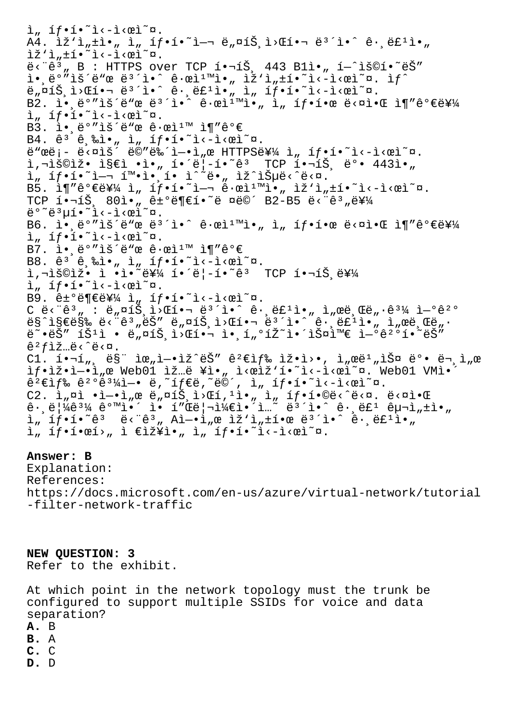$\lim_{n \to \infty} \frac{1}{n} \cdot \lim_{n \to \infty} \frac{1}{n} \cdot \lim_{n \to \infty} \frac{1}{n} \cdot \lim_{n \to \infty} \frac{1}{n}$  $A4.$   $\tilde{z}'$ ì, $\pm$ ì $\cdot$ ,  $\tilde{z}$ ,  $\tilde{z}$ ,  $\tilde{z}'$  $\tilde{z}$ , $\tilde{z}$ , $\tilde{z}$ , $\tilde{z}$ , $\tilde{z}$ , $\tilde{z}$ , $\tilde{z}$ , $\tilde{z}$ , $\tilde{z}$ , $\tilde{z}$ , $\tilde{z}$ , $\tilde{z}$ , $\tilde{z}$ , $\tilde{z}$ , $\tilde{z}$ , $\tilde{z}$ , $\tilde{z}$ , $\tilde{z}$ , $\tilde$  $\tilde{z}$ 'ì,  $\pm$ í $\cdot$ <sup>~</sup>i<-i< $\tilde{z}$  $\ddot{e}$  < " $\ddot{e}$ ", B : HTTPS over TCP  $i \cdot \neg i\breve{S}$ , 443 Bli $\cdot$ ,  $i - \hat{i} \breve{S} \odot i \cdot \tilde{e} \breve{S}$ "  $\tilde{\mathbb{I}}$ •, ë $^{\text{o}}$ "iš´ë"œ ë $^3$ ´i•^ ê·œì $^1$ "i•, iž'i,  $\pm$ í•~i‹ $^2$ i‹ $^-$ i‹œì $^-$ ¤. i $f$ ^ ë"¤íЏì>Œí•¬ ë $^3$ ´ì•^ ê $\cdot$ ,ë£ʲì•" ì" 탕í•~ì<-ì<œì~¤. B2. 앸ë°″ìš´ë"œ ë<sup>з´</sup>ì•^ ꕜ캙ì•" ì" 탕한 ë<¤ì•Œ ì¶″가를  $\lim_{n \to \infty} \frac{1}{n} \cdot \lim_{n \to \infty} \frac{1}{n} \cdot \lim_{n \to \infty} \frac{1}{n} \cdot \lim_{n \to \infty} \frac{1}{n}$ B3. ì• ë°"lš´ë"œ ê·œl1™ l¶"ê°€ B4.  $\hat{e}^3$   $\hat{e}$ ,  $\hat{e}$   $\hat{i}$   $\cdot$   $\hat{j}$   $\hat{k}$   $\hat{i}$   $\hat{j}$   $\hat{k}$   $\hat{i}$   $\hat{k}$   $\hat{k}$   $\hat{k}$   $\hat{k}$   $\hat{k}$   $\hat{k}$   $\hat{i}$   $\hat{k}$   $\hat{k}$   $\hat{k}$   $\hat{k}$   $\hat{k}$   $\hat{k}$   $\hat{k}$   $\hat{k}$   $\hat{k}$   $\hat{k}$   $\hat{k}$   $\hat{k}$   $\hat$  $\ddot{e}$ "ϑ;-  $\ddot{e}$ <¤ìš´ ë©"뉴ì-•ì"œ HTTPS를 ì" íf•í•~ì‹-시ì~¤.  $i, \exists \delta \odot i \geq 0$  is  $\epsilon i \cdot j \cdot j$  io  $\epsilon' = \{ -i \cdot \delta^3 \}$  TCP  $i \cdot \exists \delta, \delta \in \{ 443i \cdot j \cdot j \}$ ì" íf•í•~ì—¬ 확앸í• ì^~ë•" ìž^습ë<^ë<¤.  $B5.$   $\tilde{1}$   $\tilde{1}''$   $\hat{e}$  $\Phi$  $\tilde{e}$  $\tilde{f}$  $\tilde{A}$   $\tilde{h}$   $\tilde{h}$   $\tilde{h}$   $\tilde{h}$   $\tilde{e}$   $\tilde{h}$   $\tilde{e}$   $\tilde{h}$   $\tilde{h}$   $\tilde{h}$   $\tilde{h}$   $\tilde{h}$   $\tilde{h}$   $\tilde{h}$   $\tilde{h}$   $\tilde{h}$   $\tilde{h}$   $\tilde{h}$ TCP  $i \cdot \neg i \check{S}$ ,  $80i \cdot \pi$  ê±°ë¶€í $\cdot$ ~ë ¤ë©´ B2-B5 ë<"ê3 $\pi$ 를 ë°~ë3µí.~ì<-ì<œì~¤. B6. Ì.,ë°"lš´ë" $x e e^3$ 'ì.^ ê. $x$ lī"l., î, íf.í. $x e e$  ë< $x$ l.C līvêº $e e e$ 를  $\lim_{n \to \infty} \frac{1}{n} \int_0^{\infty} e^{-\frac{1}{n}x} \cdot e^{-\frac{1}{n}x} dx$ . B7.  $i \cdot \frac{e^{\circ}}{2}$  is end  $e \cdot e^{i \cdot \pi}$  if  $i \in \mathbb{R}$ B8.  $\hat{e}^3$  $\hat{e}$ ,  $\hat{e}$  $\hat{i}$ ,  $\hat{i}$   $\hat{j}$   $\hat{j}$   $\hat{i}$   $\hat{j}$   $\hat{k}$   $\hat{i}$   $\hat{k}$   $\hat{k}$   $\hat{k}$  $i, \neg i$ š©iž• ì •ì•~를 í•´ë¦-í•~êª TCP 핬트를  $\lim_{n \to \infty} \frac{1}{n} \int_0^{\infty} e^{-\frac{x^2}{n} - \frac{1}{n}} dx$ . B9.  $êt^o$ 부를 ì" íf•í•~ì‹ $e$ ì′∞ì"¤.  $C \tilde{e} < \tilde{e}$ <sup>3</sup>, :  $\tilde{e}_n$   $\Omega_1 \tilde{S}$ ,  $\tilde{L} > \Omega_2$  .  $\tilde{e}$   $\tilde{e}$  .  $\tilde{e}$  :  $\tilde{e}$  :  $\tilde{e}$  :  $\tilde{e}$  :  $\tilde{e}$  ,  $\tilde{e}$  :  $\tilde{e}$  ,  $\tilde{e}$  :  $\tilde{e}$  :  $\tilde{e}$  :  $\tilde{e}$  :  $\tilde{e}$  :  $\tilde{e$  $ES$ ^지막 ë<"ê3"ëŠ" ë"¤íŠ,ì>Œí•¬ ë3´ì•^ ê $\cdot$ ë£<sup>1</sup>ì•" ì"œë,Œë" $\cdot$  $e^{\alpha}$ •ëŠ" íŠ<sup>1</sup>ì • ë"¤íŠ,ì>Œí•¬ ì•,í"°íŽ~앴스와 ì-ºê<sup>20</sup>í•~ëŠ"  $\hat{e}^2 f$ lž…ë $\langle \hat{e} \rangle$ ë $\langle \hat{a} \rangle$ .  $Cl.$  핬í", ë§" 위ì—•ìž^ëŠ" 꺀색 ìž•ì>•, ì"œë $^1$ "스 뺕 ë¬,ì"œ ìf.iž.i-·ì"œ Web01 ìž…ë ¥ì•" ì<œìž'í.<sup>~</sup>ì<-ì<œì~¤. Web01 VMì.  $\hat{e}^2 \in \hat{I}$   $f$   $\hat{e}$   $\hat{e}^2 \in \hat{e}^3$   $\hat{e}^2 \in \hat{e}$   $\hat{e}$ ,  $\hat{e}$   $\hat{e}$ ,  $\hat{e}$   $\hat{e}$   $\hat{e}$   $\hat{e}$   $\hat{e}$   $\hat{e}$   $\hat{e}$   $\hat{e}$   $\hat{e}$   $\hat{e}$   $\hat{e}$   $\hat{e}$   $\hat{e}$   $\hat{e}$   $\hat{e}$   $\hat{e}$   $\$ C2.  $i_n$  $\alpha i - i - i_n \alpha e e_n \alpha i \delta$ ,  $i \delta n i - n$ ,  $i_n$   $i_f$   $i \delta e$   $i \delta e$ ,  $i \delta e$   $i \alpha$ .  $i \delta e$  $\hat{e}$ ·  $\hat{e}$ <sup>1</sup> $\hat{4}$  $\hat{e}$ <sup>31</sup> $\hat{4}$   $\hat{e}$ <sup>0</sup>  $\hat{n}$   $\hat{i}$   $\hat{e}$   $\hat{e}$   $\hat{i}$   $\hat{e}$   $\hat{e}$   $\hat{i}$   $\hat{e}$   $\hat{e}$   $\hat{i}$   $\hat{e}$   $\hat{i}$   $\hat{i}$   $\hat{i}$   $\hat{j}$   $\hat{i}$   $\hat{j}$   $\hat{k}$   $\hat{i}$   $\hat{j}$   $\hat{k}$   $\hat{i$  $\tilde{a}$ ,  $\tilde{1}$ ,  $\tilde{1}$ ,  $\tilde{1}$   $\tilde{e}$   $\tilde{e}$   $\tilde{e}$   $\tilde{e}$   $\tilde{e}$   $\tilde{e}$   $\tilde{e}$   $\tilde{e}$   $\tilde{e}$   $\tilde{e}$   $\tilde{e}$   $\tilde{e}$   $\tilde{e}$   $\tilde{e}$   $\tilde{e}$   $\tilde{e}$   $\tilde{e}$   $\tilde{e}$   $\tilde{e}$   $\tilde{e}$   $\$  $i,$   $if \cdot i \cdot e_i > n$  i  $\epsilon$ iž¥ì $\cdot,$  i,  $if \cdot i \cdot \tilde{i} < -i$ 

# **Answer: B**

Explanation: References: https://docs.microsoft.com/en-us/azure/virtual-network/tutorial -filter-network-traffic

**NEW QUESTION: 3** Refer to the exhibit.

At which point in the network topology must the trunk be configured to support multiple SSIDs for voice and data separation? **A.** B **B.** A **C.** C **D.** D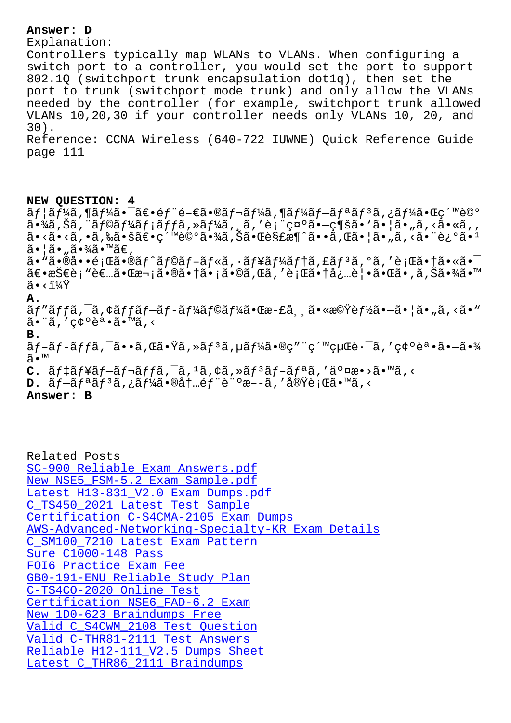Explanation: Controllers typically map WLANs to VLANs. When configuring a switch port to a controller, you would set the port to support 802.1Q (switchport trunk encapsulation dot1q), then set the port to trunk (switchport mode trunk) and only allow the VLANs needed by the controller (for example, switchport trunk allowed VLANs 10,20,30 if your controller needs only VLANs 10, 20, and 30). Reference: CCNA Wireless (640-722 IUWNE) Quick Reference Guide page 111

### **NEW QUESTION: 4**

 $\tilde{a}f$ ¦ã $f$ ¼ã,¶ã $f$ ¼ã•¯ã $\in$ •é $f$ ¨é– $\epsilon$ ã•®ã $f$ ‹ $f$ ¼ã,¶ã $f$ ¼ã $f$ –ã $f$ ªã $f$ ªã,¿ã $f$ ¼ã•Œç´™è©° 㕾ã,Šã,¨ãƒ©ãƒ¼ãƒ¡ãƒƒã,≫ーã,¸ã,′表礰ã•—ç¶šã• `㕦ã•"ã,<ã•«ã,, ã•<ã•<ã,•ã,‰ã•šã€•紙詰㕾ã,Šã•Œè§£æ¶^ã••ã,Œã•¦ã•"ã,<㕨è¿°ã•1  $\tilde{a}$ •¦ã•"㕾ã•™ã€,

ã. "ã. ®å. •é; Œã. ®ã f^ã f©ã f-ã f«ã, ·ã f¥ã f¼ã f tã, £ã f 3ã, ºã, 'è; Œã. tã. «ã. -〕技è¡"者㕌次㕮㕆ã•¡ã•©ã,Œã,′行㕆必覕㕌ã•,ã,Šã•¾ã•™  $\tilde{a} \cdot \tilde{i} \sqrt{Y}$ 

# **A.**

 $\tilde{a}f''\tilde{a}ff\tilde{a}$ ,  $\tilde{a}$ ,  $\tilde{a}f\tilde{a}f - \tilde{a}f - \tilde{a}f'$ á $f\tilde{a}f'$ á• $\tilde{a}e - \tilde{a}$ ,  $\tilde{a}e - \tilde{a}e'$  and  $\tilde{a}e'$  $\tilde{a}$ .' $\tilde{c}$ e $\tilde{c}$ e $\tilde{a}$ .''A $\tilde{a}$ .'

**B.**

ã $f$ -ã $f$ -ã $f$ fã,  $\tilde{a}$ ••ã, $\mathfrak{A}$  Gã• $\mathrm{\tilde{Y}}$ ã, »ã $f$ 3ã, $\mu$ ã $f$ ¼ã•®ç″¨ç´™ç $\mu$ Ώ $\cdot$ ¯ã, ′確è $\tilde{a}$ •ã• $\tilde{a}$ •¾ ã•™

 $C.$   $\tilde{a}f\tilde{a}f\tilde{a}f-\tilde{a}f\tilde{a}f\tilde{a}f$ ,  $\tilde{a}$ ,  $\tilde{a}$ ,  $\tilde{a}$ ,  $\tilde{a}f$ ,  $\tilde{a}f\tilde{a}f-\tilde{a}f$ ,  $\tilde{a}$ ,  $\tilde{a}$ ,  $\tilde{a}$ ,  $\tilde{a}$ ,  $\tilde{a}$ ,  $\tilde{a}$ ,  $\tilde{a}$ ,  $\tilde{a}$ ,  $\tilde{a}$ ,  $\tilde{a}$ ,  $\tilde$ 

 $D. \tilde{a} f - \tilde{a} f^a \tilde{a} f^3 \tilde{a}$ ,  $\tilde{a} f^1 \tilde{a} \tilde{a} \cdot \tilde{a} \tilde{a} + \tilde{a} f^c \tilde{a} \cdot \tilde{a} - \tilde{a}$ , ' $\tilde{a} g \tilde{g} \tilde{g} \cdot \tilde{a} \cdot \tilde{a} \cdot \tilde{a}$ 

### **Answer: B**

Related Posts SC-900 Reliable Exam Answers.pdf New NSE5\_FSM-5.2 Exam Sample.pdf Latest H13-831 V2.0 Exam Dumps.pdf C\_TS450\_2021 Latest Test Sample [Certification C-S4CMA-2105 Exam D](http://wdh.namgiang.edu.vn/?docs=SC-900_Reliable-Exam-Answers.pdf-738384)umps [AWS-Advanced-Networking-Specialty-K](http://wdh.namgiang.edu.vn/?docs=H13-831_V2.0_Latest--Exam-Dumps.pdf-516262)R Exam Details [C\\_SM100\\_7210 Latest Exam Pattern](http://wdh.namgiang.edu.vn/?docs=C_TS450_2021_Latest-Test-Sample-738384) [Sure C1000-148 Pass](http://wdh.namgiang.edu.vn/?docs=C-S4CMA-2105_Certification--Exam-Dumps-162627) FOI6 Practice Exam Fee [GB0-191-ENU Reliable Study Plan](http://wdh.namgiang.edu.vn/?docs=AWS-Advanced-Networking-Specialty-KR_Exam-Details-840405) [C-TS4CO-2020 Online](http://wdh.namgiang.edu.vn/?docs=C1000-148_Sure--Pass-848405) Test [Certification NSE6\\_FAD-](http://wdh.namgiang.edu.vn/?docs=FOI6_Practice-Exam-Fee-161627)6.2 Exam New 1D0-623 Braindumps Free [Valid C\\_S4CWM\\_2108 Test Question](http://wdh.namgiang.edu.vn/?docs=GB0-191-ENU_Reliable-Study-Plan-162627) [Valid C-THR81-2111 Test A](http://wdh.namgiang.edu.vn/?docs=C-TS4CO-2020_Online-Test-384040)nswers Reliable H12-111 V2.5 Dumps Sheet [Latest C\\_THR86\\_2111 Braindumps](http://wdh.namgiang.edu.vn/?docs=C_S4CWM_2108_Valid--Test-Question-273738)